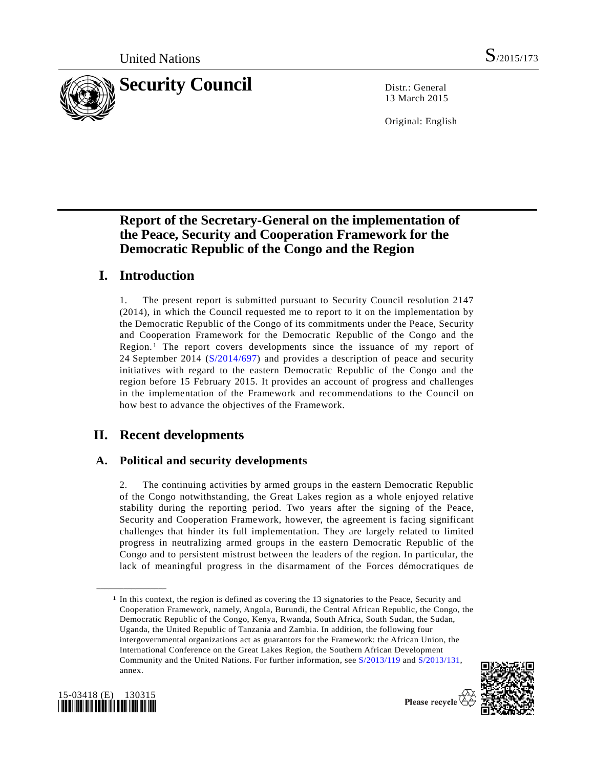

13 March 2015

Original: English

# **Report of the Secretary-General on the implementation of the Peace, Security and Cooperation Framework for the Democratic Republic of the Congo and the Region**

# **I. Introduction**

1. The present report is submitted pursuant to Security Council resolution 2147 (2014), in which the Council requested me to report to it on the implementation by the Democratic Republic of the Congo of its commitments under the Peace, Security and Cooperation Framework for the Democratic Republic of the Congo and the Region.[1](#page-0-0) The report covers developments since the issuance of my report of 24 September 2014 [\(S/2014/697\)](http://undocs.org/S/2014/697) and provides a description of peace and security initiatives with regard to the eastern Democratic Republic of the Congo and the region before 15 February 2015. It provides an account of progress and challenges in the implementation of the Framework and recommendations to the Council on how best to advance the objectives of the Framework.

# **II. Recent developments**

# **A. Political and security developments**

2. The continuing activities by armed groups in the eastern Democratic Republic of the Congo notwithstanding, the Great Lakes region as a whole enjoyed relative stability during the reporting period. Two years after the signing of the Peace, Security and Cooperation Framework, however, the agreement is facing significant challenges that hinder its full implementation. They are largely related to limited progress in neutralizing armed groups in the eastern Democratic Republic of the Congo and to persistent mistrust between the leaders of the region. In particular, the lack of meaningful progress in the disarmament of the Forces démocratiques de

<sup>&</sup>lt;sup>1</sup> In this context, the region is defined as covering the 13 signatories to the Peace, Security and Cooperation Framework, namely, Angola, Burundi, the Central African Republic, the Congo, the Democratic Republic of the Congo, Kenya, Rwanda, South Africa, South Sudan, the Sudan, Uganda, the United Republic of Tanzania and Zambia. In addition, the following four intergovernmental organizations act as guarantors for the Framework: the African Union, the International Conference on the Great Lakes Region, the Southern African Development Community and the United Nations. For further information, see [S/2013/119](http://undocs.org/S/2013/119) and [S/2013/131,](http://undocs.org/S/2013/131)  annex.





<span id="page-0-0"></span>**\_\_\_\_\_\_\_\_\_\_\_\_\_\_\_\_\_\_**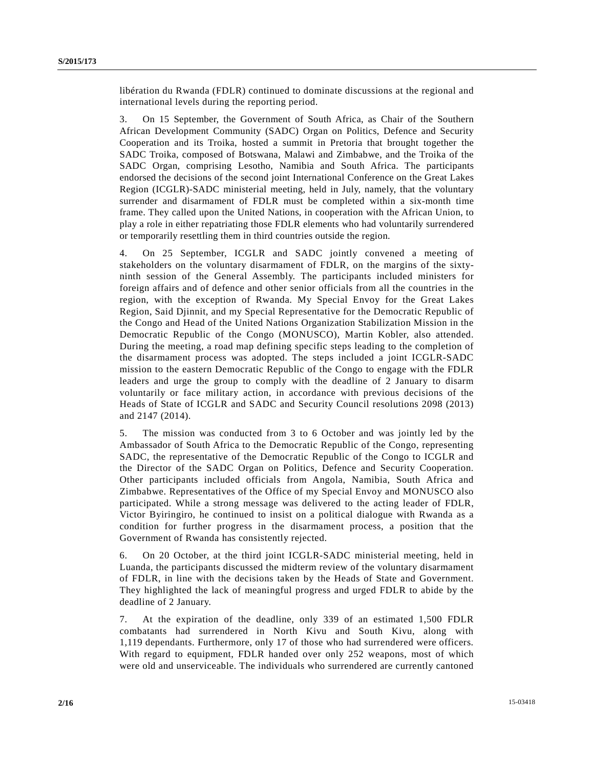libération du Rwanda (FDLR) continued to dominate discussions at the regional and international levels during the reporting period.

3. On 15 September, the Government of South Africa, as Chair of the Southern African Development Community (SADC) Organ on Politics, Defence and Security Cooperation and its Troika, hosted a summit in Pretoria that brought together the SADC Troika, composed of Botswana, Malawi and Zimbabwe, and the Troika of the SADC Organ, comprising Lesotho, Namibia and South Africa. The participants endorsed the decisions of the second joint International Conference on the Great Lakes Region (ICGLR)-SADC ministerial meeting, held in July, namely, that the voluntary surrender and disarmament of FDLR must be completed within a six-month time frame. They called upon the United Nations, in cooperation with the African Union, to play a role in either repatriating those FDLR elements who had voluntarily surrendered or temporarily resettling them in third countries outside the region.

4. On 25 September, ICGLR and SADC jointly convened a meeting of stakeholders on the voluntary disarmament of FDLR, on the margins of the sixtyninth session of the General Assembly. The participants included ministers for foreign affairs and of defence and other senior officials from all the countries in the region, with the exception of Rwanda. My Special Envoy for the Great Lakes Region, Said Djinnit, and my Special Representative for the Democratic Republic of the Congo and Head of the United Nations Organization Stabilization Mission in the Democratic Republic of the Congo (MONUSCO), Martin Kobler, also attended. During the meeting, a road map defining specific steps leading to the completion of the disarmament process was adopted. The steps included a joint ICGLR-SADC mission to the eastern Democratic Republic of the Congo to engage with the FDLR leaders and urge the group to comply with the deadline of 2 January to disarm voluntarily or face military action, in accordance with previous decisions of the Heads of State of ICGLR and SADC and Security Council resolutions 2098 (2013) and 2147 (2014).

5. The mission was conducted from 3 to 6 October and was jointly led by the Ambassador of South Africa to the Democratic Republic of the Congo, representing SADC, the representative of the Democratic Republic of the Congo to ICGLR and the Director of the SADC Organ on Politics, Defence and Security Cooperation. Other participants included officials from Angola, Namibia, South Africa and Zimbabwe. Representatives of the Office of my Special Envoy and MONUSCO also participated. While a strong message was delivered to the acting leader of FDLR, Victor Byiringiro, he continued to insist on a political dialogue with Rwanda as a condition for further progress in the disarmament process, a position that the Government of Rwanda has consistently rejected.

6. On 20 October, at the third joint ICGLR-SADC ministerial meeting, held in Luanda, the participants discussed the midterm review of the voluntary disarmament of FDLR, in line with the decisions taken by the Heads of State and Government. They highlighted the lack of meaningful progress and urged FDLR to abide by the deadline of 2 January.

7. At the expiration of the deadline, only 339 of an estimated 1,500 FDLR combatants had surrendered in North Kivu and South Kivu, along with 1,119 dependants. Furthermore, only 17 of those who had surrendered were officers. With regard to equipment, FDLR handed over only 252 weapons, most of which were old and unserviceable. The individuals who surrendered are currently cantoned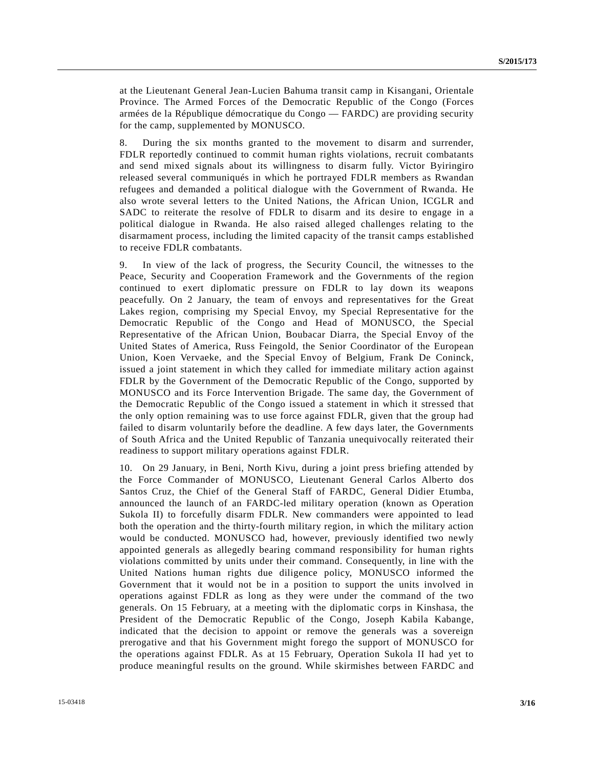at the Lieutenant General Jean-Lucien Bahuma transit camp in Kisangani, Orientale Province. The Armed Forces of the Democratic Republic of the Congo (Forces armées de la République démocratique du Congo — FARDC) are providing security for the camp, supplemented by MONUSCO.

8. During the six months granted to the movement to disarm and surrender, FDLR reportedly continued to commit human rights violations, recruit combatants and send mixed signals about its willingness to disarm fully. Victor Byiringiro released several communiqués in which he portrayed FDLR members as Rwandan refugees and demanded a political dialogue with the Government of Rwanda. He also wrote several letters to the United Nations, the African Union, ICGLR and SADC to reiterate the resolve of FDLR to disarm and its desire to engage in a political dialogue in Rwanda. He also raised alleged challenges relating to the disarmament process, including the limited capacity of the transit camps established to receive FDLR combatants.

9. In view of the lack of progress, the Security Council, the witnesses to the Peace, Security and Cooperation Framework and the Governments of the region continued to exert diplomatic pressure on FDLR to lay down its weapons peacefully. On 2 January, the team of envoys and representatives for the Great Lakes region, comprising my Special Envoy, my Special Representative for the Democratic Republic of the Congo and Head of MONUSCO, the Special Representative of the African Union, Boubacar Diarra, the Special Envoy of the United States of America, Russ Feingold, the Senior Coordinator of the European Union, Koen Vervaeke, and the Special Envoy of Belgium, Frank De Coninck, issued a joint statement in which they called for immediate military action against FDLR by the Government of the Democratic Republic of the Congo, supported by MONUSCO and its Force Intervention Brigade. The same day, the Government of the Democratic Republic of the Congo issued a statement in which it stressed that the only option remaining was to use force against FDLR, given that the group had failed to disarm voluntarily before the deadline. A few days later, the Governments of South Africa and the United Republic of Tanzania unequivocally reiterated their readiness to support military operations against FDLR.

10. On 29 January, in Beni, North Kivu, during a joint press briefing attended by the Force Commander of MONUSCO, Lieutenant General Carlos Alberto dos Santos Cruz, the Chief of the General Staff of FARDC, General Didier Etumba, announced the launch of an FARDC-led military operation (known as Operation Sukola II) to forcefully disarm FDLR. New commanders were appointed to lead both the operation and the thirty-fourth military region, in which the military action would be conducted. MONUSCO had, however, previously identified two newly appointed generals as allegedly bearing command responsibility for human rights violations committed by units under their command. Consequently, in line with the United Nations human rights due diligence policy, MONUSCO informed the Government that it would not be in a position to support the units involved in operations against FDLR as long as they were under the command of the two generals. On 15 February, at a meeting with the diplomatic corps in Kinshasa, the President of the Democratic Republic of the Congo, Joseph Kabila Kabange, indicated that the decision to appoint or remove the generals was a sovereign prerogative and that his Government might forego the support of MONUSCO for the operations against FDLR. As at 15 February, Operation Sukola II had yet to produce meaningful results on the ground. While skirmishes between FARDC and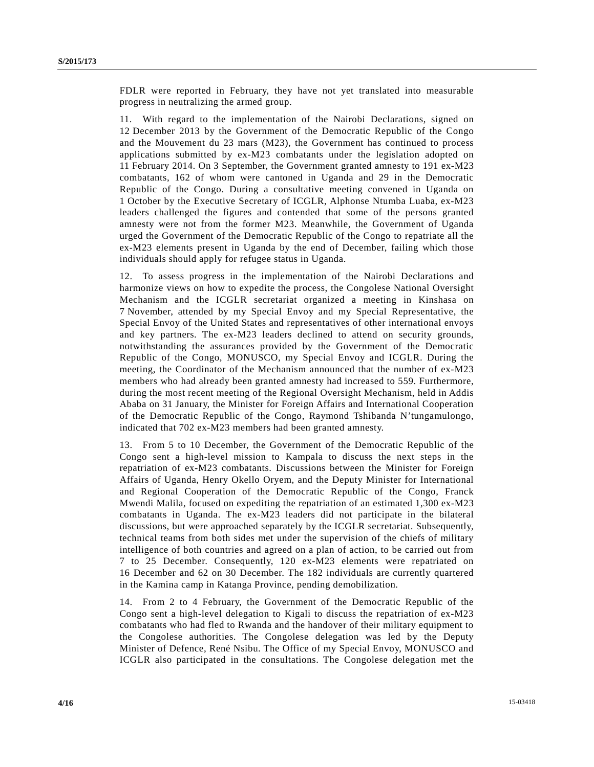FDLR were reported in February, they have not yet translated into measurable progress in neutralizing the armed group.

11. With regard to the implementation of the Nairobi Declarations, signed on 12 December 2013 by the Government of the Democratic Republic of the Congo and the Mouvement du 23 mars (M23), the Government has continued to process applications submitted by ex-M23 combatants under the legislation adopted on 11 February 2014. On 3 September, the Government granted amnesty to 191 ex-M23 combatants, 162 of whom were cantoned in Uganda and 29 in the Democratic Republic of the Congo. During a consultative meeting convened in Uganda on 1 October by the Executive Secretary of ICGLR, Alphonse Ntumba Luaba, ex-M23 leaders challenged the figures and contended that some of the persons granted amnesty were not from the former M23. Meanwhile, the Government of Uganda urged the Government of the Democratic Republic of the Congo to repatriate all the ex-M23 elements present in Uganda by the end of December, failing which those individuals should apply for refugee status in Uganda.

12. To assess progress in the implementation of the Nairobi Declarations and harmonize views on how to expedite the process, the Congolese National Oversight Mechanism and the ICGLR secretariat organized a meeting in Kinshasa on 7 November, attended by my Special Envoy and my Special Representative, the Special Envoy of the United States and representatives of other international envoys and key partners. The ex-M23 leaders declined to attend on security grounds, notwithstanding the assurances provided by the Government of the Democratic Republic of the Congo, MONUSCO, my Special Envoy and ICGLR. During the meeting, the Coordinator of the Mechanism announced that the number of ex-M23 members who had already been granted amnesty had increased to 559. Furthermore, during the most recent meeting of the Regional Oversight Mechanism, held in Addis Ababa on 31 January, the Minister for Foreign Affairs and International Cooperation of the Democratic Republic of the Congo, Raymond Tshibanda N'tungamulongo, indicated that 702 ex-M23 members had been granted amnesty.

13. From 5 to 10 December, the Government of the Democratic Republic of the Congo sent a high-level mission to Kampala to discuss the next steps in the repatriation of ex-M23 combatants. Discussions between the Minister for Foreign Affairs of Uganda, Henry Okello Oryem, and the Deputy Minister for International and Regional Cooperation of the Democratic Republic of the Congo, Franck Mwendi Malila, focused on expediting the repatriation of an estimated 1,300 ex-M23 combatants in Uganda. The ex-M23 leaders did not participate in the bilateral discussions, but were approached separately by the ICGLR secretariat. Subsequently, technical teams from both sides met under the supervision of the chiefs of military intelligence of both countries and agreed on a plan of action, to be carried out from 7 to 25 December. Consequently, 120 ex-M23 elements were repatriated on 16 December and 62 on 30 December. The 182 individuals are currently quartered in the Kamina camp in Katanga Province, pending demobilization.

14. From 2 to 4 February, the Government of the Democratic Republic of the Congo sent a high-level delegation to Kigali to discuss the repatriation of ex-M23 combatants who had fled to Rwanda and the handover of their military equipment to the Congolese authorities. The Congolese delegation was led by the Deputy Minister of Defence, René Nsibu. The Office of my Special Envoy, MONUSCO and ICGLR also participated in the consultations. The Congolese delegation met the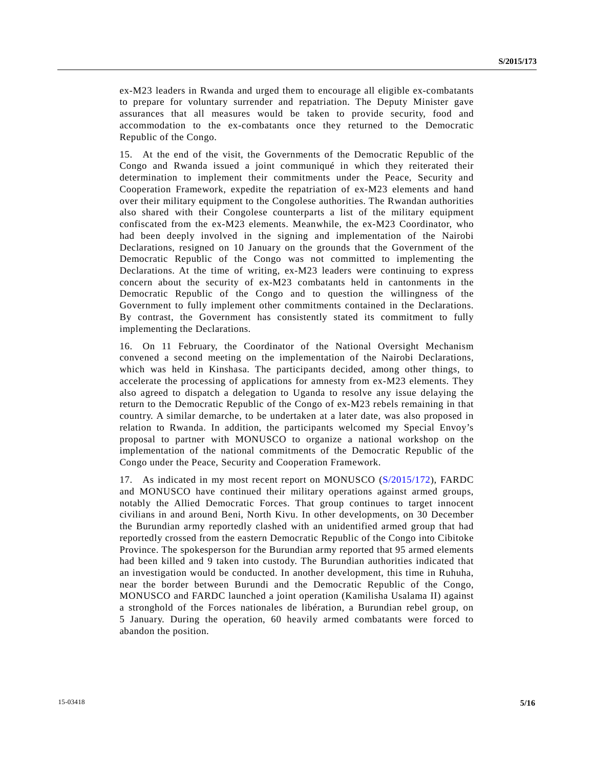ex-M23 leaders in Rwanda and urged them to encourage all eligible ex-combatants to prepare for voluntary surrender and repatriation. The Deputy Minister gave assurances that all measures would be taken to provide security, food and accommodation to the ex-combatants once they returned to the Democratic Republic of the Congo.

15. At the end of the visit, the Governments of the Democratic Republic of the Congo and Rwanda issued a joint communiqué in which they reiterated their determination to implement their commitments under the Peace, Security and Cooperation Framework, expedite the repatriation of ex-M23 elements and hand over their military equipment to the Congolese authorities. The Rwandan authorities also shared with their Congolese counterparts a list of the military equipment confiscated from the ex-M23 elements. Meanwhile, the ex-M23 Coordinator, who had been deeply involved in the signing and implementation of the Nairobi Declarations, resigned on 10 January on the grounds that the Government of the Democratic Republic of the Congo was not committed to implementing the Declarations. At the time of writing, ex-M23 leaders were continuing to express concern about the security of ex-M23 combatants held in cantonments in the Democratic Republic of the Congo and to question the willingness of the Government to fully implement other commitments contained in the Declarations. By contrast, the Government has consistently stated its commitment to fully implementing the Declarations.

16. On 11 February, the Coordinator of the National Oversight Mechanism convened a second meeting on the implementation of the Nairobi Declarations, which was held in Kinshasa. The participants decided, among other things, to accelerate the processing of applications for amnesty from ex-M23 elements. They also agreed to dispatch a delegation to Uganda to resolve any issue delaying the return to the Democratic Republic of the Congo of ex-M23 rebels remaining in that country. A similar demarche, to be undertaken at a later date, was also proposed in relation to Rwanda. In addition, the participants welcomed my Special Envoy's proposal to partner with MONUSCO to organize a national workshop on the implementation of the national commitments of the Democratic Republic of the Congo under the Peace, Security and Cooperation Framework.

17. As indicated in my most recent report on MONUSCO [\(S/2015/172\)](http://undocs.org/S/2015/172), FARDC and MONUSCO have continued their military operations against armed groups, notably the Allied Democratic Forces. That group continues to target innocent civilians in and around Beni, North Kivu. In other developments, on 30 December the Burundian army reportedly clashed with an unidentified armed group that had reportedly crossed from the eastern Democratic Republic of the Congo into Cibitoke Province. The spokesperson for the Burundian army reported that 95 armed elements had been killed and 9 taken into custody. The Burundian authorities indicated that an investigation would be conducted. In another development, this time in Ruhuha, near the border between Burundi and the Democratic Republic of the Congo, MONUSCO and FARDC launched a joint operation (Kamilisha Usalama II) against a stronghold of the Forces nationales de libération, a Burundian rebel group, on 5 January. During the operation, 60 heavily armed combatants were forced to abandon the position.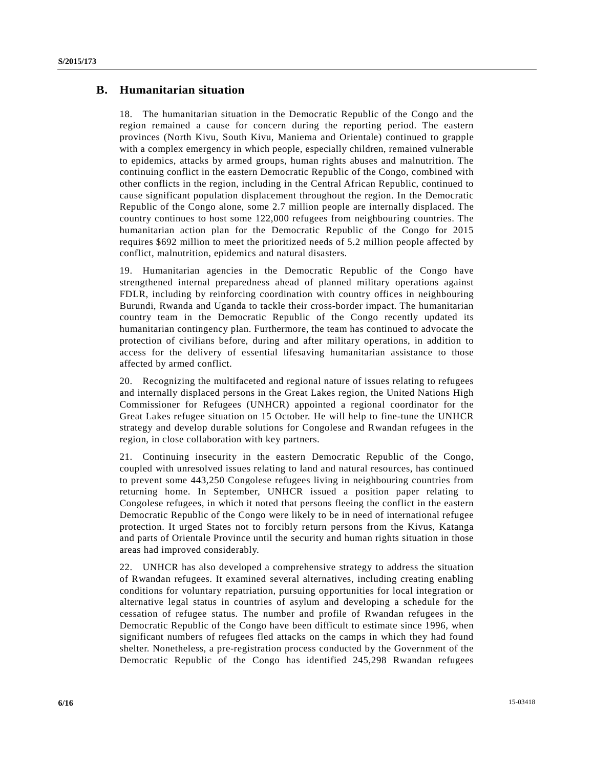## **B. Humanitarian situation**

18. The humanitarian situation in the Democratic Republic of the Congo and the region remained a cause for concern during the reporting period. The eastern provinces (North Kivu, South Kivu, Maniema and Orientale) continued to grapple with a complex emergency in which people, especially children, remained vulnerable to epidemics, attacks by armed groups, human rights abuses and malnutrition. The continuing conflict in the eastern Democratic Republic of the Congo, combined with other conflicts in the region, including in the Central African Republic, continued to cause significant population displacement throughout the region. In the Democratic Republic of the Congo alone, some 2.7 million people are internally displaced. The country continues to host some 122,000 refugees from neighbouring countries. The humanitarian action plan for the Democratic Republic of the Congo for 2015 requires \$692 million to meet the prioritized needs of 5.2 million people affected by conflict, malnutrition, epidemics and natural disasters.

19. Humanitarian agencies in the Democratic Republic of the Congo have strengthened internal preparedness ahead of planned military operations against FDLR, including by reinforcing coordination with country offices in neighbouring Burundi, Rwanda and Uganda to tackle their cross-border impact. The humanitarian country team in the Democratic Republic of the Congo recently updated its humanitarian contingency plan. Furthermore, the team has continued to advocate the protection of civilians before, during and after military operations, in addition to access for the delivery of essential lifesaving humanitarian assistance to those affected by armed conflict.

20. Recognizing the multifaceted and regional nature of issues relating to refugees and internally displaced persons in the Great Lakes region, the United Nations High Commissioner for Refugees (UNHCR) appointed a regional coordinator for the Great Lakes refugee situation on 15 October. He will help to fine-tune the UNHCR strategy and develop durable solutions for Congolese and Rwandan refugees in the region, in close collaboration with key partners.

21. Continuing insecurity in the eastern Democratic Republic of the Congo, coupled with unresolved issues relating to land and natural resources, has continued to prevent some 443,250 Congolese refugees living in neighbouring countries from returning home. In September, UNHCR issued a position paper relating to Congolese refugees, in which it noted that persons fleeing the conflict in the eastern Democratic Republic of the Congo were likely to be in need of international refugee protection. It urged States not to forcibly return persons from the Kivus, Katanga and parts of Orientale Province until the security and human rights situation in those areas had improved considerably.

22. UNHCR has also developed a comprehensive strategy to address the situation of Rwandan refugees. It examined several alternatives, including creating enabling conditions for voluntary repatriation, pursuing opportunities for local integration or alternative legal status in countries of asylum and developing a schedule for the cessation of refugee status. The number and profile of Rwandan refugees in the Democratic Republic of the Congo have been difficult to estimate since 1996, when significant numbers of refugees fled attacks on the camps in which they had found shelter. Nonetheless, a pre-registration process conducted by the Government of the Democratic Republic of the Congo has identified 245,298 Rwandan refugees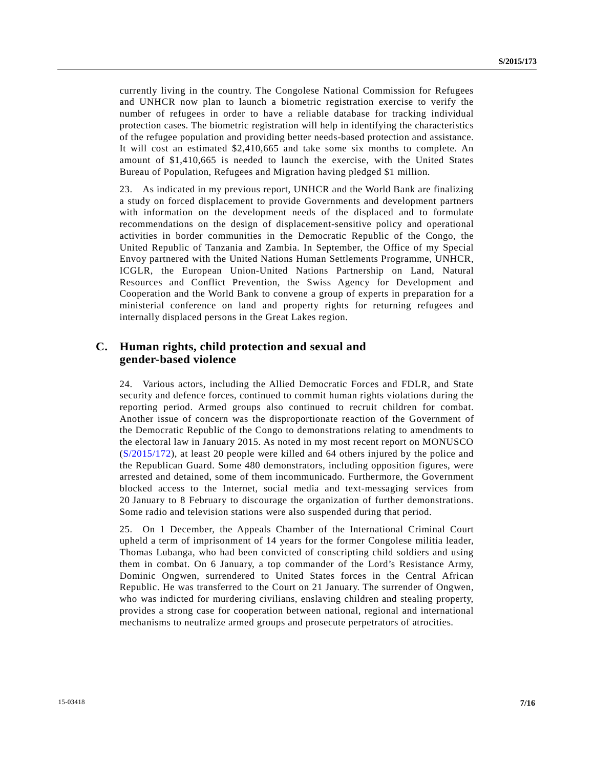currently living in the country. The Congolese National Commission for Refugees and UNHCR now plan to launch a biometric registration exercise to verify the number of refugees in order to have a reliable database for tracking individual protection cases. The biometric registration will help in identifying the characteristics of the refugee population and providing better needs-based protection and assistance. It will cost an estimated \$2,410,665 and take some six months to complete. An amount of \$1,410,665 is needed to launch the exercise, with the United States Bureau of Population, Refugees and Migration having pledged \$1 million.

23. As indicated in my previous report, UNHCR and the World Bank are finalizing a study on forced displacement to provide Governments and development partners with information on the development needs of the displaced and to formulate recommendations on the design of displacement-sensitive policy and operational activities in border communities in the Democratic Republic of the Congo, the United Republic of Tanzania and Zambia. In September, the Office of my Special Envoy partnered with the United Nations Human Settlements Programme, UNHCR, ICGLR, the European Union-United Nations Partnership on Land, Natural Resources and Conflict Prevention, the Swiss Agency for Development and Cooperation and the World Bank to convene a group of experts in preparation for a ministerial conference on land and property rights for returning refugees and internally displaced persons in the Great Lakes region.

## **C. Human rights, child protection and sexual and gender-based violence**

24. Various actors, including the Allied Democratic Forces and FDLR, and State security and defence forces, continued to commit human rights violations during the reporting period. Armed groups also continued to recruit children for combat. Another issue of concern was the disproportionate reaction of the Government of the Democratic Republic of the Congo to demonstrations relating to amendments to the electoral law in January 2015. As noted in my most recent report on MONUSCO [\(S/2015/172\)](http://undocs.org/S/2015/172), at least 20 people were killed and 64 others injured by the police and the Republican Guard. Some 480 demonstrators, including opposition figures, were arrested and detained, some of them incommunicado. Furthermore, the Government blocked access to the Internet, social media and text-messaging services from 20 January to 8 February to discourage the organization of further demonstrations. Some radio and television stations were also suspended during that period.

25. On 1 December, the Appeals Chamber of the International Criminal Court upheld a term of imprisonment of 14 years for the former Congolese militia leader, Thomas Lubanga, who had been convicted of conscripting child soldiers and using them in combat. On 6 January, a top commander of the Lord's Resistance Army, Dominic Ongwen, surrendered to United States forces in the Central African Republic. He was transferred to the Court on 21 January. The surrender of Ongwen, who was indicted for murdering civilians, enslaving children and stealing property, provides a strong case for cooperation between national, regional and international mechanisms to neutralize armed groups and prosecute perpetrators of atrocities.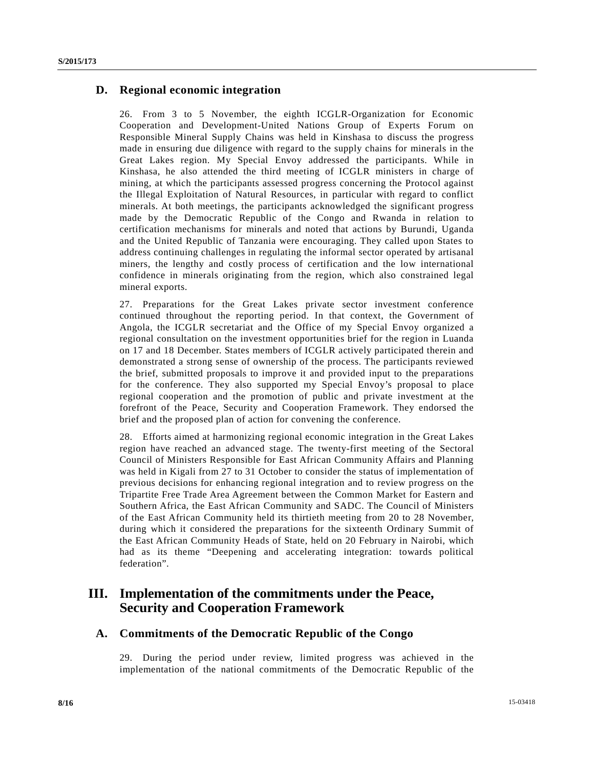## **D. Regional economic integration**

26. From 3 to 5 November, the eighth ICGLR-Organization for Economic Cooperation and Development-United Nations Group of Experts Forum on Responsible Mineral Supply Chains was held in Kinshasa to discuss the progress made in ensuring due diligence with regard to the supply chains for minerals in the Great Lakes region. My Special Envoy addressed the participants. While in Kinshasa, he also attended the third meeting of ICGLR ministers in charge of mining, at which the participants assessed progress concerning the Protocol against the Illegal Exploitation of Natural Resources, in particular with regard to conflict minerals. At both meetings, the participants acknowledged the significant progress made by the Democratic Republic of the Congo and Rwanda in relation to certification mechanisms for minerals and noted that actions by Burundi, Uganda and the United Republic of Tanzania were encouraging. They called upon States to address continuing challenges in regulating the informal sector operated by artisanal miners, the lengthy and costly process of certification and the low international confidence in minerals originating from the region, which also constrained legal mineral exports.

27. Preparations for the Great Lakes private sector investment conference continued throughout the reporting period. In that context, the Government of Angola, the ICGLR secretariat and the Office of my Special Envoy organized a regional consultation on the investment opportunities brief for the region in Luanda on 17 and 18 December. States members of ICGLR actively participated therein and demonstrated a strong sense of ownership of the process. The participants reviewed the brief, submitted proposals to improve it and provided input to the preparations for the conference. They also supported my Special Envoy's proposal to place regional cooperation and the promotion of public and private investment at the forefront of the Peace, Security and Cooperation Framework. They endorsed the brief and the proposed plan of action for convening the conference.

28. Efforts aimed at harmonizing regional economic integration in the Great Lakes region have reached an advanced stage. The twenty-first meeting of the Sectoral Council of Ministers Responsible for East African Community Affairs and Planning was held in Kigali from 27 to 31 October to consider the status of implementation of previous decisions for enhancing regional integration and to review progress on the Tripartite Free Trade Area Agreement between the Common Market for Eastern and Southern Africa, the East African Community and SADC. The Council of Ministers of the East African Community held its thirtieth meeting from 20 to 28 November, during which it considered the preparations for the sixteenth Ordinary Summit of the East African Community Heads of State, held on 20 February in Nairobi, which had as its theme "Deepening and accelerating integration: towards political federation".

# **III. Implementation of the commitments under the Peace, Security and Cooperation Framework**

## **A. Commitments of the Democratic Republic of the Congo**

29. During the period under review, limited progress was achieved in the implementation of the national commitments of the Democratic Republic of the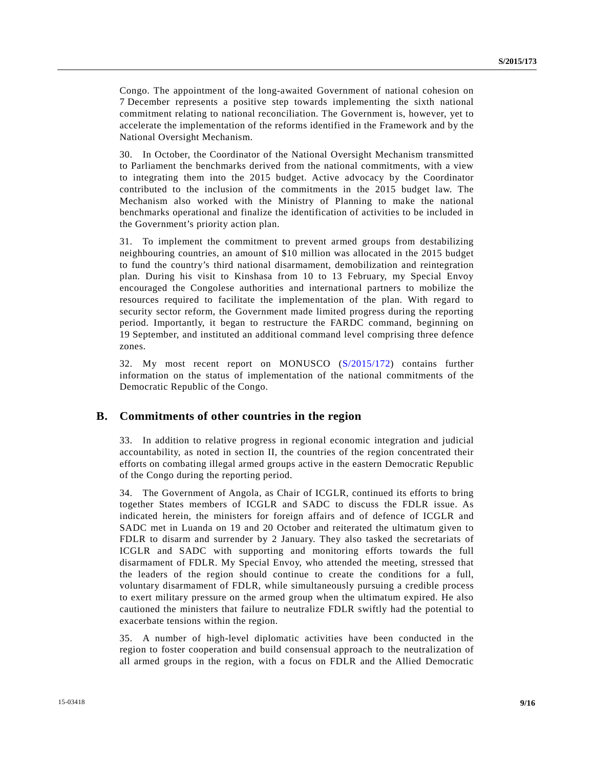Congo. The appointment of the long-awaited Government of national cohesion on 7 December represents a positive step towards implementing the sixth national commitment relating to national reconciliation. The Government is, however, yet to accelerate the implementation of the reforms identified in the Framework and by the National Oversight Mechanism.

30. In October, the Coordinator of the National Oversight Mechanism transmitted to Parliament the benchmarks derived from the national commitments, with a view to integrating them into the 2015 budget. Active advocacy by the Coordinator contributed to the inclusion of the commitments in the 2015 budget law. The Mechanism also worked with the Ministry of Planning to make the national benchmarks operational and finalize the identification of activities to be included in the Government's priority action plan.

31. To implement the commitment to prevent armed groups from destabilizing neighbouring countries, an amount of \$10 million was allocated in the 2015 budget to fund the country's third national disarmament, demobilization and reintegration plan. During his visit to Kinshasa from 10 to 13 February, my Special Envoy encouraged the Congolese authorities and international partners to mobilize the resources required to facilitate the implementation of the plan. With regard to security sector reform, the Government made limited progress during the reporting period. Importantly, it began to restructure the FARDC command, beginning on 19 September, and instituted an additional command level comprising three defence zones.

32. My most recent report on MONUSCO [\(S/2015/172\)](http://undocs.org/S/2015/172) contains further information on the status of implementation of the national commitments of the Democratic Republic of the Congo.

#### **B. Commitments of other countries in the region**

33. In addition to relative progress in regional economic integration and judicial accountability, as noted in section II, the countries of the region concentrated their efforts on combating illegal armed groups active in the eastern Democratic Republic of the Congo during the reporting period.

34. The Government of Angola, as Chair of ICGLR, continued its efforts to bring together States members of ICGLR and SADC to discuss the FDLR issue. As indicated herein, the ministers for foreign affairs and of defence of ICGLR and SADC met in Luanda on 19 and 20 October and reiterated the ultimatum given to FDLR to disarm and surrender by 2 January. They also tasked the secretariats of ICGLR and SADC with supporting and monitoring efforts towards the full disarmament of FDLR. My Special Envoy, who attended the meeting, stressed that the leaders of the region should continue to create the conditions for a full, voluntary disarmament of FDLR, while simultaneously pursuing a credible process to exert military pressure on the armed group when the ultimatum expired. He also cautioned the ministers that failure to neutralize FDLR swiftly had the potential to exacerbate tensions within the region.

35. A number of high-level diplomatic activities have been conducted in the region to foster cooperation and build consensual approach to the neutralization of all armed groups in the region, with a focus on FDLR and the Allied Democratic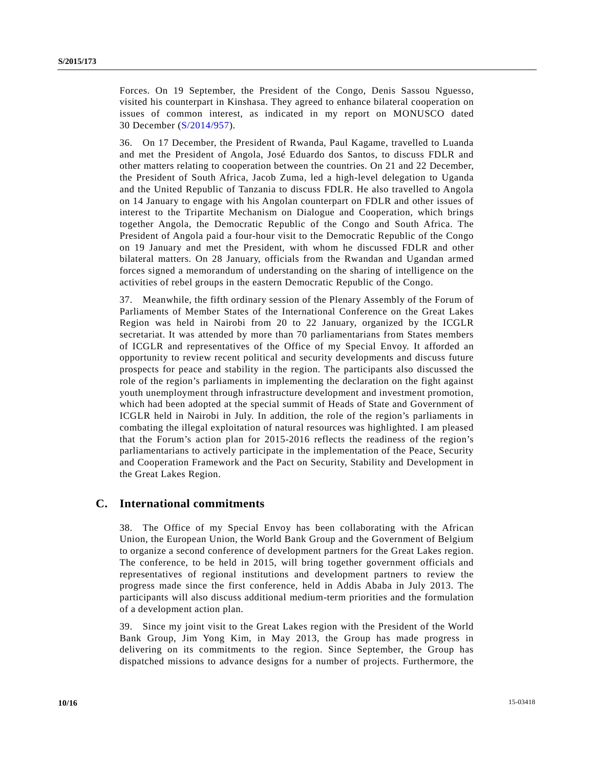Forces. On 19 September, the President of the Congo, Denis Sassou Nguesso, visited his counterpart in Kinshasa. They agreed to enhance bilateral cooperation on issues of common interest, as indicated in my report on MONUSCO dated 30 December [\(S/2014/957\)](http://undocs.org/S/2014/957).

36. On 17 December, the President of Rwanda, Paul Kagame, travelled to Luanda and met the President of Angola, José Eduardo dos Santos, to discuss FDLR and other matters relating to cooperation between the countries. On 21 and 22 December, the President of South Africa, Jacob Zuma, led a high-level delegation to Uganda and the United Republic of Tanzania to discuss FDLR. He also travelled to Angola on 14 January to engage with his Angolan counterpart on FDLR and other issues of interest to the Tripartite Mechanism on Dialogue and Cooperation, which brings together Angola, the Democratic Republic of the Congo and South Africa. The President of Angola paid a four-hour visit to the Democratic Republic of the Congo on 19 January and met the President, with whom he discussed FDLR and other bilateral matters. On 28 January, officials from the Rwandan and Ugandan armed forces signed a memorandum of understanding on the sharing of intelligence on the activities of rebel groups in the eastern Democratic Republic of the Congo.

37. Meanwhile, the fifth ordinary session of the Plenary Assembly of the Forum of Parliaments of Member States of the International Conference on the Great Lakes Region was held in Nairobi from 20 to 22 January, organized by the ICGLR secretariat. It was attended by more than 70 parliamentarians from States members of ICGLR and representatives of the Office of my Special Envoy. It afforded an opportunity to review recent political and security developments and discuss future prospects for peace and stability in the region. The participants also discussed the role of the region's parliaments in implementing the declaration on the fight against youth unemployment through infrastructure development and investment promotion, which had been adopted at the special summit of Heads of State and Government of ICGLR held in Nairobi in July. In addition, the role of the region's parliaments in combating the illegal exploitation of natural resources was highlighted. I am pleased that the Forum's action plan for 2015-2016 reflects the readiness of the region's parliamentarians to actively participate in the implementation of the Peace, Security and Cooperation Framework and the Pact on Security, Stability and Development in the Great Lakes Region.

#### **C. International commitments**

38. The Office of my Special Envoy has been collaborating with the African Union, the European Union, the World Bank Group and the Government of Belgium to organize a second conference of development partners for the Great Lakes region. The conference, to be held in 2015, will bring together government officials and representatives of regional institutions and development partners to review the progress made since the first conference, held in Addis Ababa in July 2013. The participants will also discuss additional medium-term priorities and the formulation of a development action plan.

39. Since my joint visit to the Great Lakes region with the President of the World Bank Group, Jim Yong Kim, in May 2013, the Group has made progress in delivering on its commitments to the region. Since September, the Group has dispatched missions to advance designs for a number of projects. Furthermore, the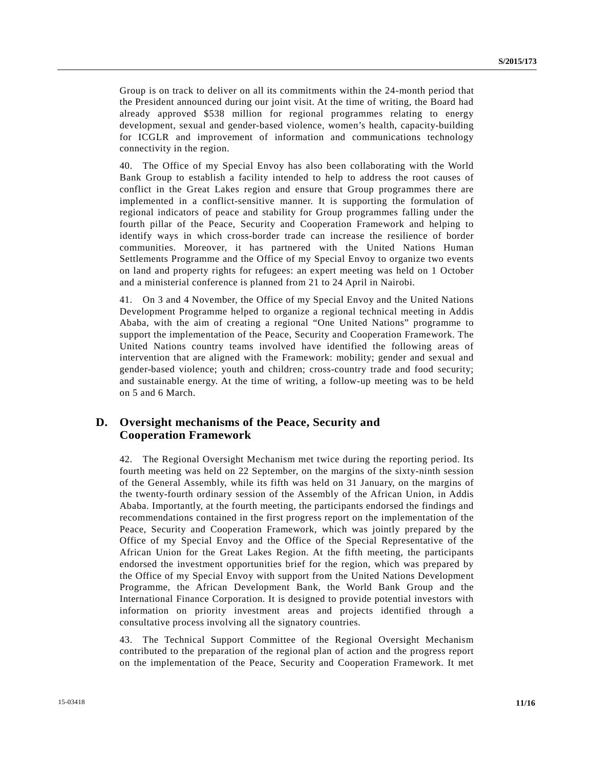Group is on track to deliver on all its commitments within the 24-month period that the President announced during our joint visit. At the time of writing, the Board had already approved \$538 million for regional programmes relating to energy development, sexual and gender-based violence, women's health, capacity-building for ICGLR and improvement of information and communications technology connectivity in the region.

40. The Office of my Special Envoy has also been collaborating with the World Bank Group to establish a facility intended to help to address the root causes of conflict in the Great Lakes region and ensure that Group programmes there are implemented in a conflict-sensitive manner. It is supporting the formulation of regional indicators of peace and stability for Group programmes falling under the fourth pillar of the Peace, Security and Cooperation Framework and helping to identify ways in which cross-border trade can increase the resilience of border communities. Moreover, it has partnered with the United Nations Human Settlements Programme and the Office of my Special Envoy to organize two events on land and property rights for refugees: an expert meeting was held on 1 October and a ministerial conference is planned from 21 to 24 April in Nairobi.

41. On 3 and 4 November, the Office of my Special Envoy and the United Nations Development Programme helped to organize a regional technical meeting in Addis Ababa, with the aim of creating a regional "One United Nations" programme to support the implementation of the Peace, Security and Cooperation Framework. The United Nations country teams involved have identified the following areas of intervention that are aligned with the Framework: mobility; gender and sexual and gender-based violence; youth and children; cross-country trade and food security; and sustainable energy. At the time of writing, a follow-up meeting was to be held on 5 and 6 March.

## **D. Oversight mechanisms of the Peace, Security and Cooperation Framework**

42. The Regional Oversight Mechanism met twice during the reporting period. Its fourth meeting was held on 22 September, on the margins of the sixty-ninth session of the General Assembly, while its fifth was held on 31 January, on the margins of the twenty-fourth ordinary session of the Assembly of the African Union, in Addis Ababa. Importantly, at the fourth meeting, the participants endorsed the findings and recommendations contained in the first progress report on the implementation of the Peace, Security and Cooperation Framework, which was jointly prepared by the Office of my Special Envoy and the Office of the Special Representative of the African Union for the Great Lakes Region. At the fifth meeting, the participants endorsed the investment opportunities brief for the region, which was prepared by the Office of my Special Envoy with support from the United Nations Development Programme, the African Development Bank, the World Bank Group and the International Finance Corporation. It is designed to provide potential investors with information on priority investment areas and projects identified through a consultative process involving all the signatory countries.

43. The Technical Support Committee of the Regional Oversight Mechanism contributed to the preparation of the regional plan of action and the progress report on the implementation of the Peace, Security and Cooperation Framework. It met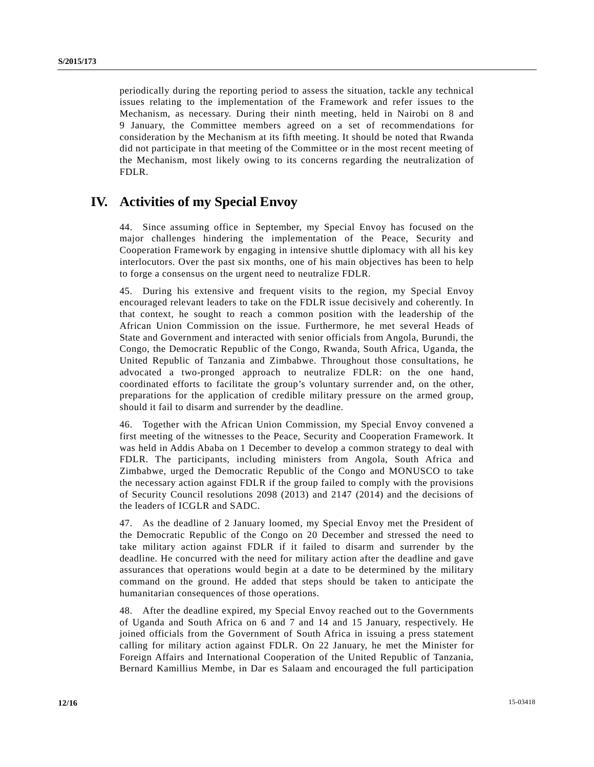periodically during the reporting period to assess the situation, tackle any technical issues relating to the implementation of the Framework and refer issues to the Mechanism, as necessary. During their ninth meeting, held in Nairobi on 8 and 9 January, the Committee members agreed on a set of recommendations for consideration by the Mechanism at its fifth meeting. It should be noted that Rwanda did not participate in that meeting of the Committee or in the most recent meeting of the Mechanism, most likely owing to its concerns regarding the neutralization of FDLR.

# **IV. Activities of my Special Envoy**

44. Since assuming office in September, my Special Envoy has focused on the major challenges hindering the implementation of the Peace, Security and Cooperation Framework by engaging in intensive shuttle diplomacy with all his key interlocutors. Over the past six months, one of his main objectives has been to help to forge a consensus on the urgent need to neutralize FDLR.

45. During his extensive and frequent visits to the region, my Special Envoy encouraged relevant leaders to take on the FDLR issue decisively and coherently. In that context, he sought to reach a common position with the leadership of the African Union Commission on the issue. Furthermore, he met several Heads of State and Government and interacted with senior officials from Angola, Burundi, the Congo, the Democratic Republic of the Congo, Rwanda, South Africa, Uganda, the United Republic of Tanzania and Zimbabwe. Throughout those consultations, he advocated a two-pronged approach to neutralize FDLR: on the one hand, coordinated efforts to facilitate the group's voluntary surrender and, on the other, preparations for the application of credible military pressure on the armed group, should it fail to disarm and surrender by the deadline.

46. Together with the African Union Commission, my Special Envoy convened a first meeting of the witnesses to the Peace, Security and Cooperation Framework. It was held in Addis Ababa on 1 December to develop a common strategy to deal with FDLR. The participants, including ministers from Angola, South Africa and Zimbabwe, urged the Democratic Republic of the Congo and MONUSCO to take the necessary action against FDLR if the group failed to comply with the provisions of Security Council resolutions 2098 (2013) and 2147 (2014) and the decisions of the leaders of ICGLR and SADC.

47. As the deadline of 2 January loomed, my Special Envoy met the President of the Democratic Republic of the Congo on 20 December and stressed the need to take military action against FDLR if it failed to disarm and surrender by the deadline. He concurred with the need for military action after the deadline and gave assurances that operations would begin at a date to be determined by the military command on the ground. He added that steps should be taken to anticipate the humanitarian consequences of those operations.

48. After the deadline expired, my Special Envoy reached out to the Governments of Uganda and South Africa on 6 and 7 and 14 and 15 January, respectively. He joined officials from the Government of South Africa in issuing a press statement calling for military action against FDLR. On 22 January, he met the Minister for Foreign Affairs and International Cooperation of the United Republic of Tanzania, Bernard Kamillius Membe, in Dar es Salaam and encouraged the full participation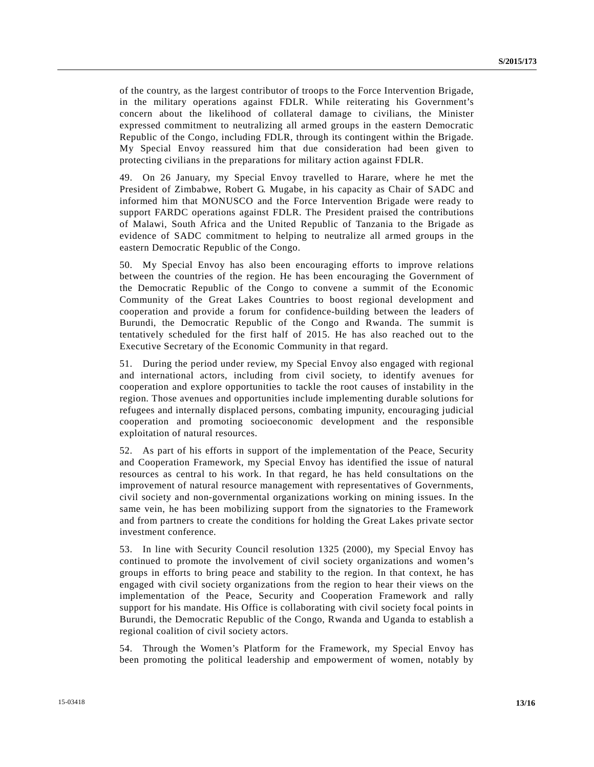of the country, as the largest contributor of troops to the Force Intervention Brigade, in the military operations against FDLR. While reiterating his Government's concern about the likelihood of collateral damage to civilians, the Minister expressed commitment to neutralizing all armed groups in the eastern Democratic Republic of the Congo, including FDLR, through its contingent within the Brigade. My Special Envoy reassured him that due consideration had been given to protecting civilians in the preparations for military action against FDLR.

49. On 26 January, my Special Envoy travelled to Harare, where he met the President of Zimbabwe, Robert G. Mugabe, in his capacity as Chair of SADC and informed him that MONUSCO and the Force Intervention Brigade were ready to support FARDC operations against FDLR. The President praised the contributions of Malawi, South Africa and the United Republic of Tanzania to the Brigade as evidence of SADC commitment to helping to neutralize all armed groups in the eastern Democratic Republic of the Congo.

50. My Special Envoy has also been encouraging efforts to improve relations between the countries of the region. He has been encouraging the Government of the Democratic Republic of the Congo to convene a summit of the Economic Community of the Great Lakes Countries to boost regional development and cooperation and provide a forum for confidence-building between the leaders of Burundi, the Democratic Republic of the Congo and Rwanda. The summit is tentatively scheduled for the first half of 2015. He has also reached out to the Executive Secretary of the Economic Community in that regard.

51. During the period under review, my Special Envoy also engaged with regional and international actors, including from civil society, to identify avenues for cooperation and explore opportunities to tackle the root causes of instability in the region. Those avenues and opportunities include implementing durable solutions for refugees and internally displaced persons, combating impunity, encouraging judicial cooperation and promoting socioeconomic development and the responsible exploitation of natural resources.

52. As part of his efforts in support of the implementation of the Peace, Security and Cooperation Framework, my Special Envoy has identified the issue of natural resources as central to his work. In that regard, he has held consultations on the improvement of natural resource management with representatives of Governments, civil society and non-governmental organizations working on mining issues. In the same vein, he has been mobilizing support from the signatories to the Framework and from partners to create the conditions for holding the Great Lakes private sector investment conference.

53. In line with Security Council resolution 1325 (2000), my Special Envoy has continued to promote the involvement of civil society organizations and women's groups in efforts to bring peace and stability to the region. In that context, he has engaged with civil society organizations from the region to hear their views on the implementation of the Peace, Security and Cooperation Framework and rally support for his mandate. His Office is collaborating with civil society focal points in Burundi, the Democratic Republic of the Congo, Rwanda and Uganda to establish a regional coalition of civil society actors.

54. Through the Women's Platform for the Framework, my Special Envoy has been promoting the political leadership and empowerment of women, notably by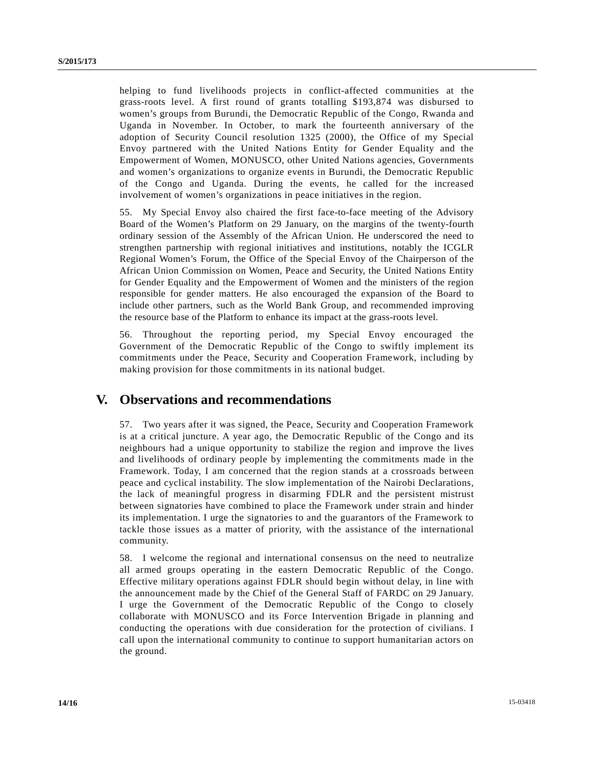helping to fund livelihoods projects in conflict-affected communities at the grass-roots level. A first round of grants totalling \$193,874 was disbursed to women's groups from Burundi, the Democratic Republic of the Congo, Rwanda and Uganda in November. In October, to mark the fourteenth anniversary of the adoption of Security Council resolution 1325 (2000), the Office of my Special Envoy partnered with the United Nations Entity for Gender Equality and the Empowerment of Women, MONUSCO, other United Nations agencies, Governments and women's organizations to organize events in Burundi, the Democratic Republic of the Congo and Uganda. During the events, he called for the increased involvement of women's organizations in peace initiatives in the region.

55. My Special Envoy also chaired the first face-to-face meeting of the Advisory Board of the Women's Platform on 29 January, on the margins of the twenty-fourth ordinary session of the Assembly of the African Union. He underscored the need to strengthen partnership with regional initiatives and institutions, notably the ICGLR Regional Women's Forum, the Office of the Special Envoy of the Chairperson of the African Union Commission on Women, Peace and Security, the United Nations Entity for Gender Equality and the Empowerment of Women and the ministers of the region responsible for gender matters. He also encouraged the expansion of the Board to include other partners, such as the World Bank Group, and recommended improving the resource base of the Platform to enhance its impact at the grass-roots level.

56. Throughout the reporting period, my Special Envoy encouraged the Government of the Democratic Republic of the Congo to swiftly implement its commitments under the Peace, Security and Cooperation Framework, including by making provision for those commitments in its national budget.

## **V. Observations and recommendations**

57. Two years after it was signed, the Peace, Security and Cooperation Framework is at a critical juncture. A year ago, the Democratic Republic of the Congo and its neighbours had a unique opportunity to stabilize the region and improve the lives and livelihoods of ordinary people by implementing the commitments made in the Framework. Today, I am concerned that the region stands at a crossroads between peace and cyclical instability. The slow implementation of the Nairobi Declarations, the lack of meaningful progress in disarming FDLR and the persistent mistrust between signatories have combined to place the Framework under strain and hinder its implementation. I urge the signatories to and the guarantors of the Framework to tackle those issues as a matter of priority, with the assistance of the international community.

58. I welcome the regional and international consensus on the need to neutralize all armed groups operating in the eastern Democratic Republic of the Congo. Effective military operations against FDLR should begin without delay, in line with the announcement made by the Chief of the General Staff of FARDC on 29 January. I urge the Government of the Democratic Republic of the Congo to closely collaborate with MONUSCO and its Force Intervention Brigade in planning and conducting the operations with due consideration for the protection of civilians. I call upon the international community to continue to support humanitarian actors on the ground.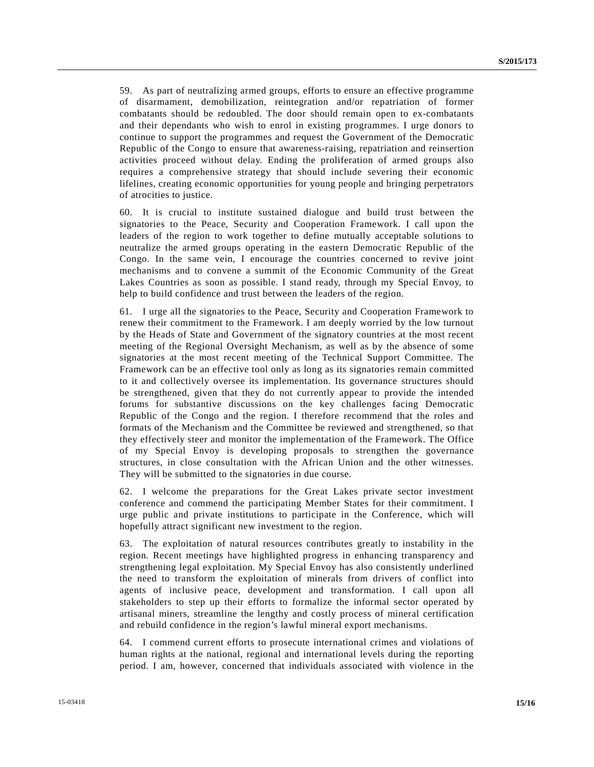59. As part of neutralizing armed groups, efforts to ensure an effective programme of disarmament, demobilization, reintegration and/or repatriation of former combatants should be redoubled. The door should remain open to ex-combatants and their dependants who wish to enrol in existing programmes. I urge donors to continue to support the programmes and request the Government of the Democratic Republic of the Congo to ensure that awareness-raising, repatriation and reinsertion activities proceed without delay. Ending the proliferation of armed groups also requires a comprehensive strategy that should include severing their economic lifelines, creating economic opportunities for young people and bringing perpetrators of atrocities to justice.

60. It is crucial to institute sustained dialogue and build trust between the signatories to the Peace, Security and Cooperation Framework. I call upon the leaders of the region to work together to define mutually acceptable solutions to neutralize the armed groups operating in the eastern Democratic Republic of the Congo. In the same vein, I encourage the countries concerned to revive joint mechanisms and to convene a summit of the Economic Community of the Great Lakes Countries as soon as possible. I stand ready, through my Special Envoy, to help to build confidence and trust between the leaders of the region.

61. I urge all the signatories to the Peace, Security and Cooperation Framework to renew their commitment to the Framework. I am deeply worried by the low turnout by the Heads of State and Government of the signatory countries at the most recent meeting of the Regional Oversight Mechanism, as well as by the absence of some signatories at the most recent meeting of the Technical Support Committee. The Framework can be an effective tool only as long as its signatories remain committed to it and collectively oversee its implementation. Its governance structures should be strengthened, given that they do not currently appear to provide the intended forums for substantive discussions on the key challenges facing Democratic Republic of the Congo and the region. I therefore recommend that the roles and formats of the Mechanism and the Committee be reviewed and strengthened, so that they effectively steer and monitor the implementation of the Framework. The Office of my Special Envoy is developing proposals to strengthen the governance structures, in close consultation with the African Union and the other witnesses. They will be submitted to the signatories in due course.

62. I welcome the preparations for the Great Lakes private sector investment conference and commend the participating Member States for their commitment. I urge public and private institutions to participate in the Conference, which will hopefully attract significant new investment to the region.

63. The exploitation of natural resources contributes greatly to instability in the region. Recent meetings have highlighted progress in enhancing transparency and strengthening legal exploitation. My Special Envoy has also consistently underlined the need to transform the exploitation of minerals from drivers of conflict into agents of inclusive peace, development and transformation. I call upon all stakeholders to step up their efforts to formalize the informal sector operated by artisanal miners, streamline the lengthy and costly process of mineral certification and rebuild confidence in the region's lawful mineral export mechanisms.

64. I commend current efforts to prosecute international crimes and violations of human rights at the national, regional and international levels during the reporting period. I am, however, concerned that individuals associated with violence in the